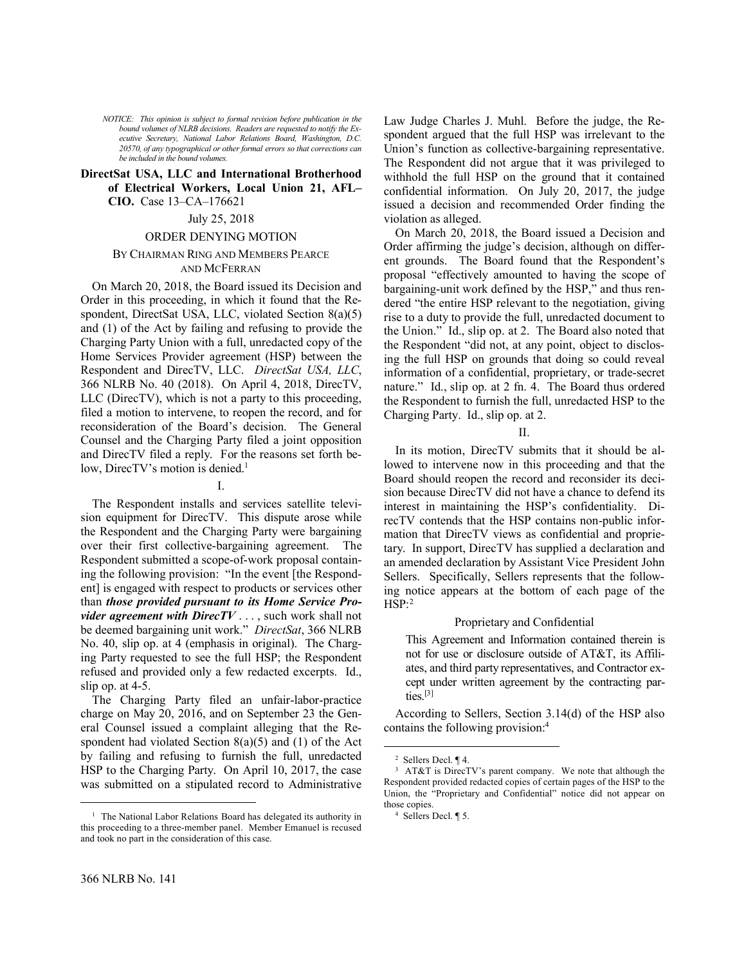*NOTICE: This opinion is subject to formal revision before publication in the bound volumes of NLRB decisions. Readers are requested to notify the Executive Secretary, National Labor Relations Board, Washington, D.C. 20570, of any typographical or other formal errors so that corrections can be included in the bound volumes.*

### **DirectSat USA, LLC and International Brotherhood of Electrical Workers, Local Union 21, AFL– CIO.** Case 13–CA–176621

#### July 25, 2018

#### ORDER DENYING MOTION

## BY CHAIRMAN RING AND MEMBERS PEARCE AND MCFERRAN

On March 20, 2018, the Board issued its Decision and Order in this proceeding, in which it found that the Respondent, DirectSat USA, LLC, violated Section 8(a)(5) and (1) of the Act by failing and refusing to provide the Charging Party Union with a full, unredacted copy of the Home Services Provider agreement (HSP) between the Respondent and DirecTV, LLC. *DirectSat USA, LLC*, 366 NLRB No. 40 (2018). On April 4, 2018, DirecTV, LLC (DirecTV), which is not a party to this proceeding, filed a motion to intervene, to reopen the record, and for reconsideration of the Board's decision. The General Counsel and the Charging Party filed a joint opposition and DirecTV filed a reply. For the reasons set forth below, DirecTV's motion is denied.<sup>1</sup>

#### I.

The Respondent installs and services satellite television equipment for DirecTV. This dispute arose while the Respondent and the Charging Party were bargaining over their first collective-bargaining agreement. The Respondent submitted a scope-of-work proposal containing the following provision: "In the event [the Respondent] is engaged with respect to products or services other than *those provided pursuant to its Home Service Provider agreement with DirecTV* . . . , such work shall not be deemed bargaining unit work." *DirectSat*, 366 NLRB No. 40, slip op. at 4 (emphasis in original). The Charging Party requested to see the full HSP; the Respondent refused and provided only a few redacted excerpts. Id., slip op. at 4-5.

The Charging Party filed an unfair-labor-practice charge on May 20, 2016, and on September 23 the General Counsel issued a complaint alleging that the Respondent had violated Section 8(a)(5) and (1) of the Act by failing and refusing to furnish the full, unredacted HSP to the Charging Party. On April 10, 2017, the case was submitted on a stipulated record to Administrative Law Judge Charles J. Muhl. Before the judge, the Respondent argued that the full HSP was irrelevant to the Union's function as collective-bargaining representative. The Respondent did not argue that it was privileged to withhold the full HSP on the ground that it contained confidential information. On July 20, 2017, the judge issued a decision and recommended Order finding the violation as alleged.

On March 20, 2018, the Board issued a Decision and Order affirming the judge's decision, although on different grounds. The Board found that the Respondent's proposal "effectively amounted to having the scope of bargaining-unit work defined by the HSP," and thus rendered "the entire HSP relevant to the negotiation, giving rise to a duty to provide the full, unredacted document to the Union." Id., slip op. at 2. The Board also noted that the Respondent "did not, at any point, object to disclosing the full HSP on grounds that doing so could reveal information of a confidential, proprietary, or trade-secret nature." Id., slip op. at 2 fn. 4. The Board thus ordered the Respondent to furnish the full, unredacted HSP to the Charging Party. Id., slip op. at 2.

II.

In its motion, DirecTV submits that it should be allowed to intervene now in this proceeding and that the Board should reopen the record and reconsider its decision because DirecTV did not have a chance to defend its interest in maintaining the HSP's confidentiality. DirecTV contends that the HSP contains non-public information that DirecTV views as confidential and proprietary. In support, DirecTV has supplied a declaration and an amended declaration by Assistant Vice President John Sellers. Specifically, Sellers represents that the following notice appears at the bottom of each page of the  $H\overline{SP}$ :<sup>2</sup>

### Proprietary and Confidential

This Agreement and Information contained therein is not for use or disclosure outside of AT&T, its Affiliates, and third party representatives, and Contractor except under written agreement by the contracting parties.[3]

According to Sellers, Section 3.14(d) of the HSP also contains the following provision:<sup>4</sup>

 $\overline{a}$ 

<u>.</u>

<sup>&</sup>lt;sup>1</sup> The National Labor Relations Board has delegated its authority in this proceeding to a three-member panel. Member Emanuel is recused and took no part in the consideration of this case.

<sup>2</sup> Sellers Decl. ¶ 4.

<sup>&</sup>lt;sup>3</sup> AT&T is DirecTV's parent company. We note that although the Respondent provided redacted copies of certain pages of the HSP to the Union, the "Proprietary and Confidential" notice did not appear on those copies.

<sup>4</sup> Sellers Decl. ¶ 5.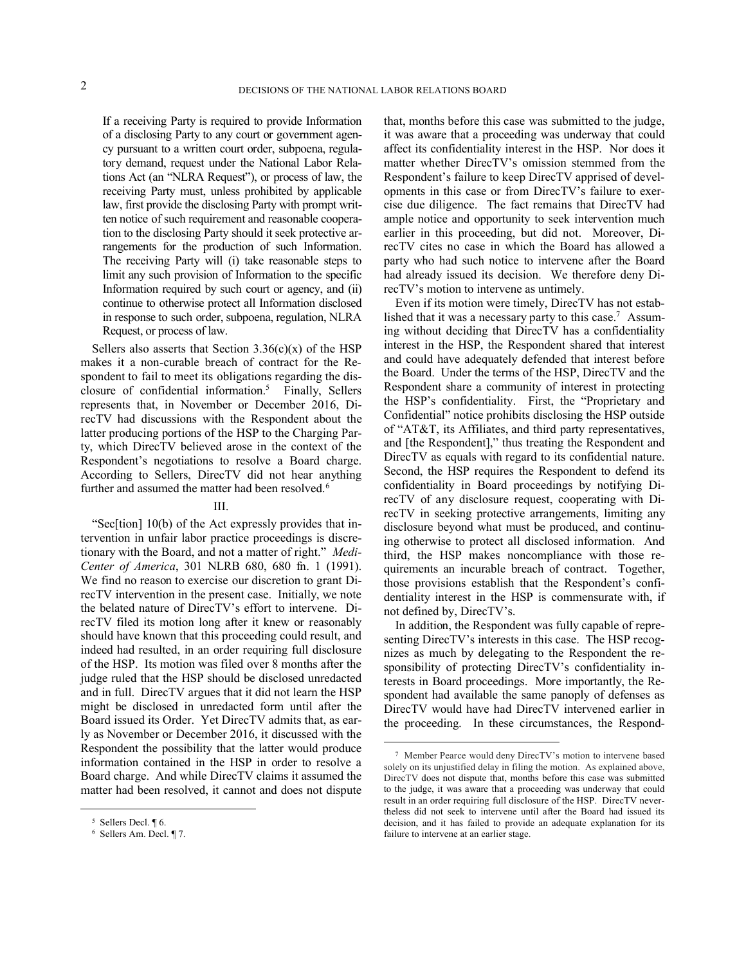$\overline{a}$ 

If a receiving Party is required to provide Information of a disclosing Party to any court or government agency pursuant to a written court order, subpoena, regulatory demand, request under the National Labor Relations Act (an "NLRA Request"), or process of law, the receiving Party must, unless prohibited by applicable law, first provide the disclosing Party with prompt written notice of such requirement and reasonable cooperation to the disclosing Party should it seek protective arrangements for the production of such Information. The receiving Party will (i) take reasonable steps to limit any such provision of Information to the specific Information required by such court or agency, and (ii) continue to otherwise protect all Information disclosed in response to such order, subpoena, regulation, NLRA Request, or process of law.

Sellers also asserts that Section  $3.36(c)(x)$  of the HSP makes it a non-curable breach of contract for the Respondent to fail to meet its obligations regarding the disclosure of confidential information.<sup>5</sup> Finally, Sellers represents that, in November or December 2016, DirecTV had discussions with the Respondent about the latter producing portions of the HSP to the Charging Party, which DirecTV believed arose in the context of the Respondent's negotiations to resolve a Board charge. According to Sellers, DirecTV did not hear anything further and assumed the matter had been resolved.<sup>6</sup>

# III.

"Sec[tion] 10(b) of the Act expressly provides that intervention in unfair labor practice proceedings is discretionary with the Board, and not a matter of right." *Medi-Center of America*, 301 NLRB 680, 680 fn. 1 (1991). We find no reason to exercise our discretion to grant DirecTV intervention in the present case. Initially, we note the belated nature of DirecTV's effort to intervene. DirecTV filed its motion long after it knew or reasonably should have known that this proceeding could result, and indeed had resulted, in an order requiring full disclosure of the HSP. Its motion was filed over 8 months after the judge ruled that the HSP should be disclosed unredacted and in full. DirecTV argues that it did not learn the HSP might be disclosed in unredacted form until after the Board issued its Order. Yet DirecTV admits that, as early as November or December 2016, it discussed with the Respondent the possibility that the latter would produce information contained in the HSP in order to resolve a Board charge. And while DirecTV claims it assumed the matter had been resolved, it cannot and does not dispute

1

that, months before this case was submitted to the judge, it was aware that a proceeding was underway that could affect its confidentiality interest in the HSP. Nor does it matter whether DirecTV's omission stemmed from the Respondent's failure to keep DirecTV apprised of developments in this case or from DirecTV's failure to exercise due diligence. The fact remains that DirecTV had ample notice and opportunity to seek intervention much earlier in this proceeding, but did not. Moreover, DirecTV cites no case in which the Board has allowed a party who had such notice to intervene after the Board had already issued its decision. We therefore deny DirecTV's motion to intervene as untimely.

Even if its motion were timely, DirecTV has not established that it was a necessary party to this case.<sup>7</sup> Assuming without deciding that DirecTV has a confidentiality interest in the HSP, the Respondent shared that interest and could have adequately defended that interest before the Board. Under the terms of the HSP, DirecTV and the Respondent share a community of interest in protecting the HSP's confidentiality. First, the "Proprietary and Confidential" notice prohibits disclosing the HSP outside of "AT&T, its Affiliates, and third party representatives, and [the Respondent]," thus treating the Respondent and DirecTV as equals with regard to its confidential nature. Second, the HSP requires the Respondent to defend its confidentiality in Board proceedings by notifying DirecTV of any disclosure request, cooperating with DirecTV in seeking protective arrangements, limiting any disclosure beyond what must be produced, and continuing otherwise to protect all disclosed information. And third, the HSP makes noncompliance with those requirements an incurable breach of contract. Together, those provisions establish that the Respondent's confidentiality interest in the HSP is commensurate with, if not defined by, DirecTV's.

In addition, the Respondent was fully capable of representing DirecTV's interests in this case. The HSP recognizes as much by delegating to the Respondent the responsibility of protecting DirecTV's confidentiality interests in Board proceedings. More importantly, the Respondent had available the same panoply of defenses as DirecTV would have had DirecTV intervened earlier in the proceeding. In these circumstances, the Respond-

<sup>5</sup> Sellers Decl. ¶ 6.

<sup>6</sup> Sellers Am. Decl. ¶ 7.

<sup>7</sup> Member Pearce would deny DirecTV's motion to intervene based solely on its unjustified delay in filing the motion. As explained above, DirecTV does not dispute that, months before this case was submitted to the judge, it was aware that a proceeding was underway that could result in an order requiring full disclosure of the HSP. DirecTV nevertheless did not seek to intervene until after the Board had issued its decision, and it has failed to provide an adequate explanation for its failure to intervene at an earlier stage.